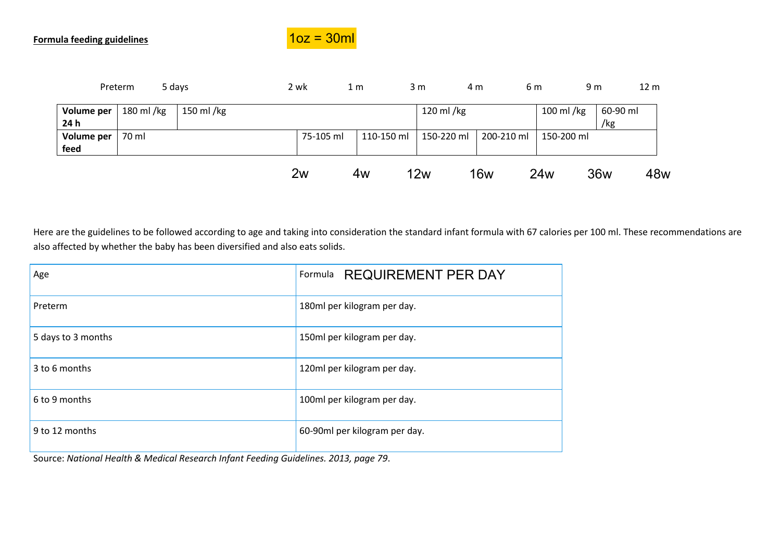

|            | Preterm   | 5 days    | 2 wk      | 1 <sub>m</sub> | 3 <sub>m</sub> | 4 m        | 6 m             | 9 <sub>m</sub> | 12 <sub>m</sub> |
|------------|-----------|-----------|-----------|----------------|----------------|------------|-----------------|----------------|-----------------|
| Volume per | 180 ml/kg | 150 ml/kg |           |                | 120 ml /kg     |            | 100 ml/kg       | 60-90 ml       |                 |
| 24 h       |           |           |           |                |                |            |                 | /kg            |                 |
| Volume per | 70 ml     |           | 75-105 ml | 110-150 ml     | 150-220 ml     |            | 200-210 ml      | 150-200 ml     |                 |
| feed       |           |           |           |                |                |            |                 |                |                 |
|            |           |           | 2w        | 4w             | 12w            | <b>16w</b> | 24 <sub>w</sub> | 36w            | 48w             |

Here are the guidelines to be followed according to age and taking into consideration the standard infant formula with 67 calories per 100 ml. These recommendations are also affected by whether the baby has been diversified and also eats solids.

| Age                | Formula REQUIREMENT PER DAY   |
|--------------------|-------------------------------|
| Preterm            | 180ml per kilogram per day.   |
| 5 days to 3 months | 150ml per kilogram per day.   |
| 3 to 6 months      | 120ml per kilogram per day.   |
| 6 to 9 months      | 100ml per kilogram per day.   |
| 9 to 12 months     | 60-90ml per kilogram per day. |

Source: *National Health & Medical Research Infant Feeding Guidelines. 2013, page 79*.